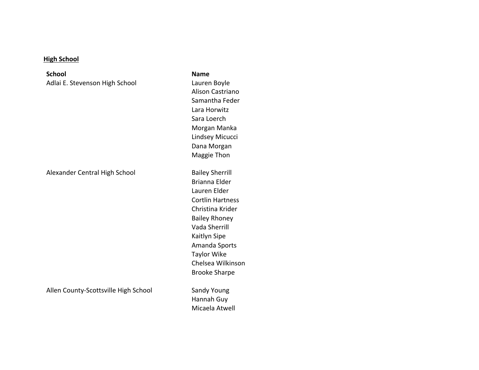## **High School**

**School** Adlai E. Stevenson High School

Alexander Central High School Bailey Sherrill

Allen County-Scottsville High School Sandy Young

**Name** Lauren Boyle Alison Castriano Samantha Feder Lara Horwitz Sara Loerch Morgan Manka Lindsey Micucci Dana Morgan Maggie Thon

Brianna Elder Lauren Elder Cortlin Hartness Christina Krider Bailey Rhoney Vada Sherrill Kaitlyn Sipe Amanda Sports **Taylor Wike** Chelsea Wilkinson Brooke Sharpe

Hannah Guy Micaela Atwell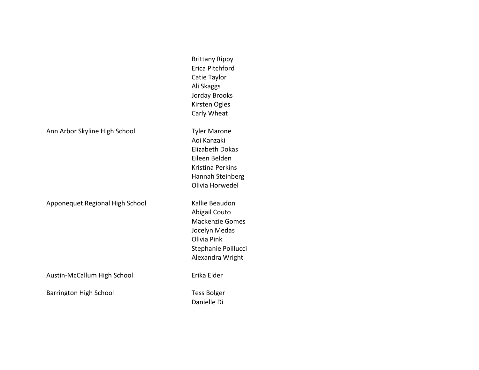|                                 | <b>Brittany Rippy</b><br>Erica Pitchford<br>Catie Taylor<br>Ali Skaggs<br>Jorday Brooks<br>Kirsten Ogles<br>Carly Wheat                         |
|---------------------------------|-------------------------------------------------------------------------------------------------------------------------------------------------|
| Ann Arbor Skyline High School   | <b>Tyler Marone</b><br>Aoi Kanzaki<br><b>Elizabeth Dokas</b><br>Eileen Belden<br><b>Kristina Perkins</b><br>Hannah Steinberg<br>Olivia Horwedel |
| Apponequet Regional High School | Kallie Beaudon<br>Abigail Couto<br><b>Mackenzie Gomes</b><br>Jocelyn Medas<br>Olivia Pink<br>Stephanie Poillucci<br>Alexandra Wright            |
| Austin-McCallum High School     | Erika Elder                                                                                                                                     |
| Barrington High School          | <b>Tess Bolger</b><br>Danielle Di                                                                                                               |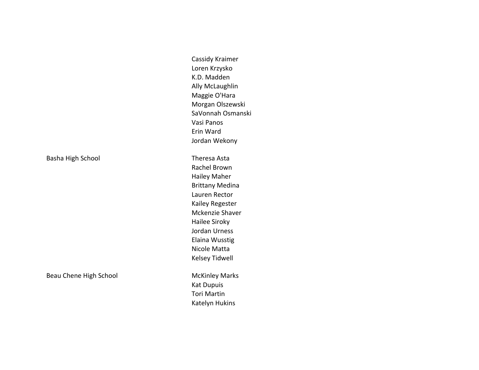Basha High School **Theresa** Asta

Beau Chene High School **McKinley Marks** 

Cassidy Kraimer Loren Krzysko K.D. Madden **Ally McLaughlin** Maggie O'Hara Morgan Olszewski SaVonnah Osmanski Vasi Panos Erin Ward Jordan Wekony

Rachel Brown Hailey Maher Brittany Medina Lauren Rector Kailey Regester Mckenzie Shaver Hailee Siroky Jordan Urness Elaina Wusstig Nicole Matta Kelsey Tidwell

**Kat Dupuis** Tori Martin Katelyn Hukins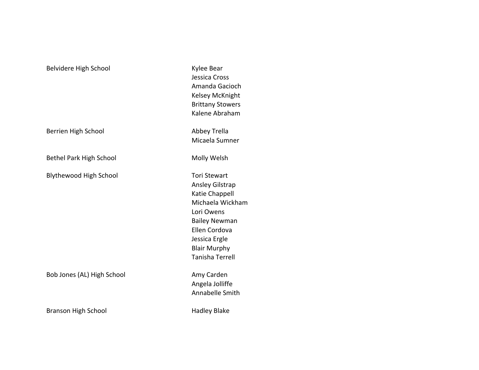# Belvidere High School **Kylee** Bear

Berrien High School **Abbey Trella** 

Bethel Park High School **Molly Welsh** 

Blythewood High School Tori Stewart

Bob Jones (AL) High School **Amy Carden** 

Branson High School **Hadley** Blake

Jessica Cross Amanda Gacioch Kelsey McKnight Brittany Stowers Kalene Abraham

Micaela Sumner

Ansley Gilstrap Katie Chappell Michaela Wickham Lori Owens Bailey Newman Ellen Cordova Jessica Ergle **Blair Murphy** Tanisha Terrell

Angela Jolliffe Annabelle Smith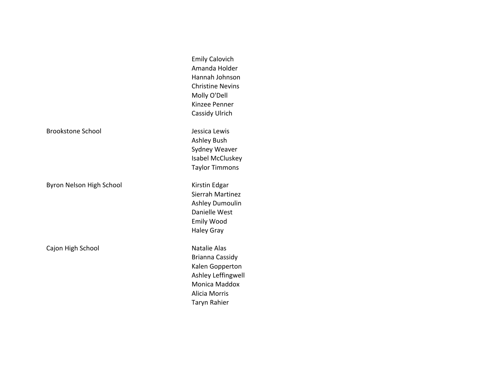|                          | <b>Emily Calovich</b>   |
|--------------------------|-------------------------|
|                          | Amanda Holder           |
|                          | Hannah Johnson          |
|                          | <b>Christine Nevins</b> |
|                          | Molly O'Dell            |
|                          | Kinzee Penner           |
|                          | <b>Cassidy Ulrich</b>   |
| <b>Brookstone School</b> | Jessica Lewis           |
|                          | <b>Ashley Bush</b>      |
|                          | Sydney Weaver           |
|                          | Isabel McCluskey        |
|                          | <b>Taylor Timmons</b>   |
| Byron Nelson High School | Kirstin Edgar           |
|                          | Sierrah Martinez        |
|                          | Ashley Dumoulin         |
|                          | Danielle West           |
|                          | <b>Emily Wood</b>       |
|                          | <b>Haley Gray</b>       |
| Cajon High School        | <b>Natalie Alas</b>     |
|                          | Brianna Cassidy         |
|                          | Kalen Gopperton         |
|                          | Ashley Leffingwell      |
|                          | Monica Maddox           |
|                          | <b>Alicia Morris</b>    |
|                          | Taryn Rahier            |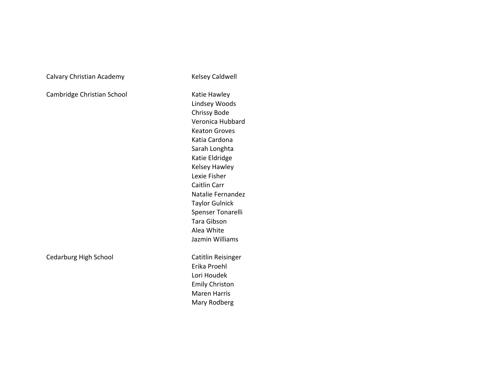Calvary Christian Academy **Acker Calvary Caldwell** 

Cambridge Christian School Katie Hawley

Lindsey Woods Chrissy Bode Veronica Hubbard Keaton Groves Katia Cardona Sarah Longhta Katie Eldridge Kelsey Hawley Lexie Fisher Caitlin Carr Natalie Fernandez **Taylor Gulnick** Spenser Tonarelli Tara Gibson Alea White Jazmin Williams Cedarburg High School Catitlin Reisinger Erika Proehl

Lori Houdek Emily Christon Maren Harris Mary Rodberg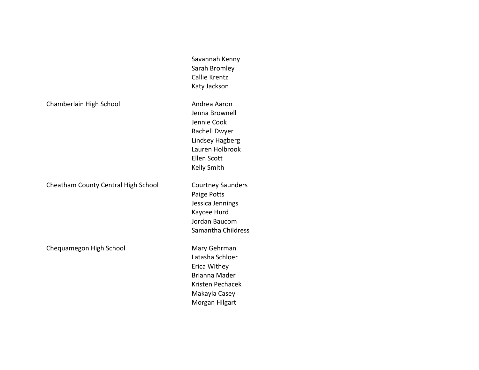Chamberlain High School **Andrea** Aaron

Cheatham County Central High School Courtney Saunders

Chequamegon High School Mary Gehrman

Savannah Kenny Sarah Bromley Callie Krentz Katy Jackson

Jenna Brownell Jennie Cook Rachell Dwyer Lindsey Hagberg Lauren Holbrook Ellen Scott Kelly Smith

Paige Potts Jessica Jennings Kaycee Hurd Jordan Baucom Samantha Childress

Latasha Schloer Erica Withey Brianna Mader Kristen Pechacek Makayla Casey Morgan Hilgart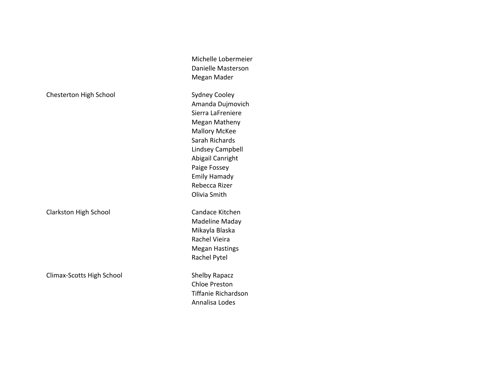| Chesterton High School |
|------------------------|
|------------------------|

Climax-Scotts High School Shelby Rapacz

Megan Mader Sydney Cooley Amanda Dujmovich Sierra LaFreniere Megan Matheny **Mallory McKee** Sarah Richards Lindsey Campbell Abigail Canright Paige Fossey Emily Hamady Rebecca Rizer Olivia Smith Clarkston High School Candace Kitchen Madeline Maday Mikayla Blaska

Michelle Lobermeier Danielle Masterson

Rachel Vieira Megan Hastings Rachel Pytel

Chloe Preston Tiffanie Richardson Annalisa Lodes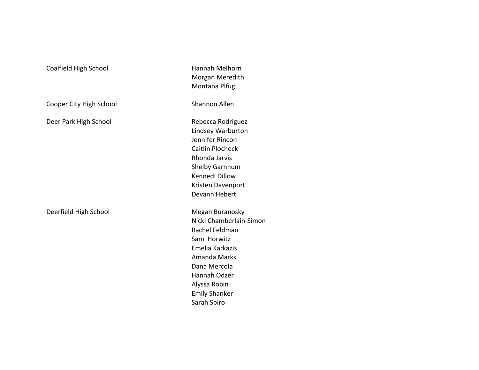| Coalfield High School   | Hannah Melhorn<br>Morgan Meredith<br>Montana Plfug                                                                                                                                                     |
|-------------------------|--------------------------------------------------------------------------------------------------------------------------------------------------------------------------------------------------------|
| Cooper City High School | <b>Shannon Allen</b>                                                                                                                                                                                   |
| Deer Park High School   | Rebecca Rodriguez<br>Lindsey Warburton<br>Jennifer Rincon<br><b>Caitlin Plocheck</b><br>Rhonda Jarvis<br>Shelby Garnhum<br>Kennedi Dillow<br>Kristen Davenport<br>Devann Hebert                        |
| Deerfield High School   | Megan Buranosky<br>Nicki Chamberlain-Simon<br>Rachel Feldman<br>Sami Horwitz<br>Emelia Karkazis<br>Amanda Marks<br>Dana Mercola<br>Hannah Odzer<br>Alyssa Robin<br><b>Emily Shanker</b><br>Sarah Spiro |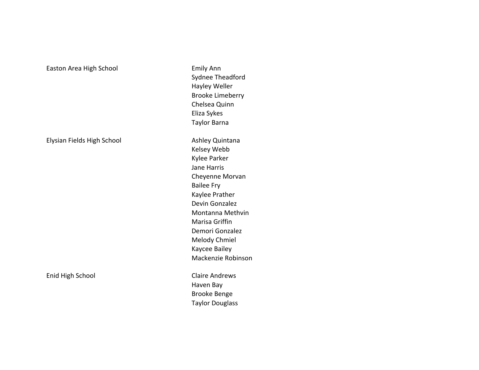## Easton Area High School **Emily Ann**

Elysian Fields High School **Ashley Quintana** 

Enid High School **Claire Andrews** 

Sydnee Theadford Hayley Weller Brooke Limeberry Chelsea Quinn Eliza Sykes Taylor Barna Kelsey Webb Kylee Parker Jane Harris Cheyenne Morvan **Bailee Fry** Kaylee Prather Devin Gonzalez Montanna Methvin Marisa Griffin Demori Gonzalez Melody Chmiel Kaycee Bailey Mackenzie Robinson

Haven Bay Brooke Benge **Taylor Douglass**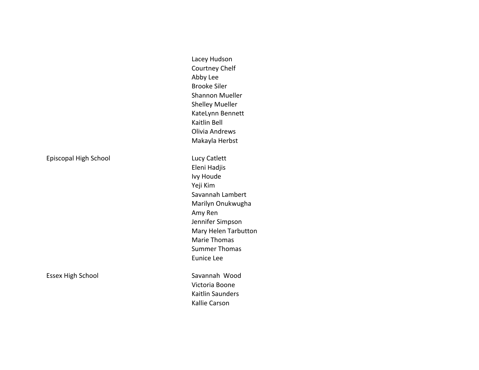Episcopal High School **Lucy Catlett** 

Essex High School **Savannah** Wood

Lacey Hudson Courtney Chelf Abby Lee Brooke Siler Shannon Mueller Shelley Mueller KateLynn Bennett Kaitlin Bell Olivia Andrews Makayla Herbst

Eleni Hadjis Ivy Houde Yeji Kim Savannah Lambert Marilyn Onukwugha Amy Ren Jennifer Simpson Mary Helen Tarbutton Marie Thomas Summer Thomas Eunice Lee

Victoria Boone Kaitlin Saunders Kallie Carson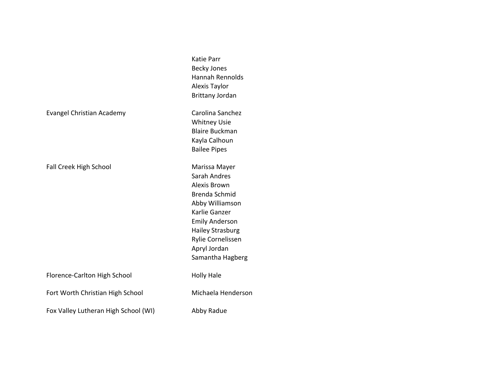|                                      | <b>Katie Parr</b><br><b>Becky Jones</b><br><b>Hannah Rennolds</b><br>Alexis Taylor<br><b>Brittany Jordan</b>                                                                                                    |
|--------------------------------------|-----------------------------------------------------------------------------------------------------------------------------------------------------------------------------------------------------------------|
| <b>Evangel Christian Academy</b>     | Carolina Sanchez<br><b>Whitney Usie</b><br><b>Blaire Buckman</b><br>Kayla Calhoun<br><b>Bailee Pipes</b>                                                                                                        |
| Fall Creek High School               | Marissa Mayer<br>Sarah Andres<br>Alexis Brown<br>Brenda Schmid<br>Abby Williamson<br>Karlie Ganzer<br><b>Emily Anderson</b><br><b>Hailey Strasburg</b><br>Rylie Cornelissen<br>Apryl Jordan<br>Samantha Hagberg |
| Florence-Carlton High School         | <b>Holly Hale</b>                                                                                                                                                                                               |
| Fort Worth Christian High School     | Michaela Henderson                                                                                                                                                                                              |
| Fox Valley Lutheran High School (WI) | Abby Radue                                                                                                                                                                                                      |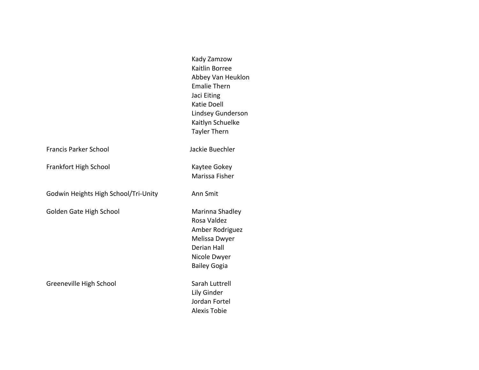|                                      | Kady Zamzow<br>Kaitlin Borree<br>Abbey Van Heuklon<br><b>Emalie Thern</b><br>Jaci Eiting<br><b>Katie Doell</b><br><b>Lindsey Gunderson</b><br>Kaitlyn Schuelke<br><b>Tayler Thern</b> |
|--------------------------------------|---------------------------------------------------------------------------------------------------------------------------------------------------------------------------------------|
| <b>Francis Parker School</b>         | Jackie Buechler                                                                                                                                                                       |
| Frankfort High School                | Kaytee Gokey<br>Marissa Fisher                                                                                                                                                        |
| Godwin Heights High School/Tri-Unity | Ann Smit                                                                                                                                                                              |
| Golden Gate High School              | Marinna Shadley<br>Rosa Valdez<br>Amber Rodriguez<br>Melissa Dwyer<br><b>Derian Hall</b><br>Nicole Dwyer<br><b>Bailey Gogia</b>                                                       |
| Greeneville High School              | Sarah Luttrell<br>Lily Ginder<br>Jordan Fortel<br><b>Alexis Tobie</b>                                                                                                                 |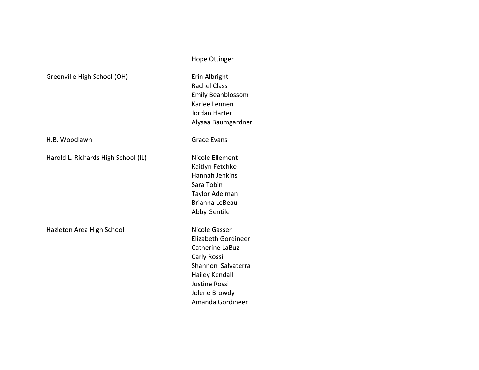| Greenville High School (OH)         | Erin Albright<br><b>Rachel Class</b><br><b>Emily Beanbloss</b><br>Karlee Lennen<br>Jordan Harter<br>Alysaa Baumgaro                                                        |
|-------------------------------------|----------------------------------------------------------------------------------------------------------------------------------------------------------------------------|
| H.B. Woodlawn                       | <b>Grace Evans</b>                                                                                                                                                         |
| Harold L. Richards High School (IL) | Nicole Ellement<br>Kaitlyn Fetchko<br>Hannah Jenkins<br>Sara Tobin<br>Taylor Adelman<br>Brianna LeBeau<br><b>Abby Gentile</b>                                              |
| Hazleton Area High School           | Nicole Gasser<br><b>Elizabeth Gordin</b><br>Catherine LaBuz<br>Carly Rossi<br>Shannon Salvate<br>Hailey Kendall<br><b>Justine Rossi</b><br>Jolene Browdy<br>Amanda Gordine |

Hope Ottinger

ossom ardner

dineer  $UZ$ aterra Jolene Browdy lineer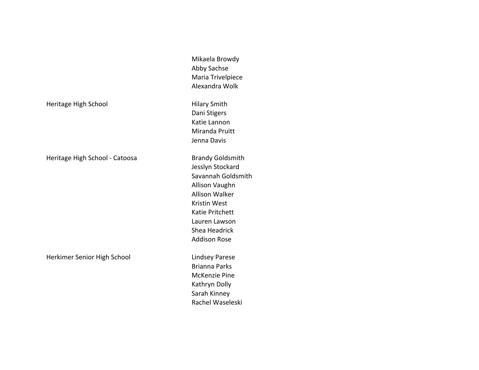Mikaela Browdy Abby Sachse Maria Trivelpiece Alexandra Wolk

Dani Stigers Katie Lannon Miranda Pruitt Jenna Davis

Jesslyn Stockard Savannah Goldsmith Allison Vaughn Allison Walker Kristin West Katie Pritchett Lauren Lawson Shea Headrick **Addison Rose** 

Brianna Parks McKenzie Pine Kathryn Dolly Sarah Kinney Rachel Waseleski

Heritage High School **Hilary Smith** 

Heritage High School - Catoosa Brandy Goldsmith

Herkimer Senior High School **Lindsey Parese**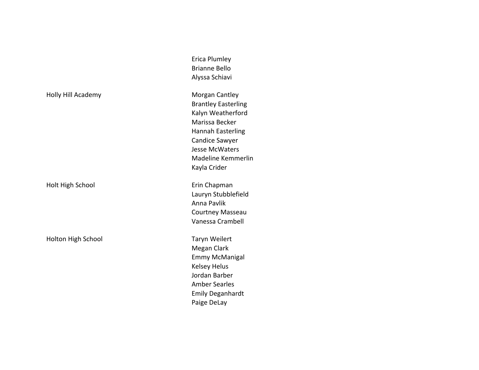Holly Hill Academy **Morgan** Cantley

Holt High School **Example 20** Erin Chapman

Holton High School **Taryn** Weilert

Erica Plumley Brianne Bello Alyssa Schiavi

Brantley Easterling Kalyn Weatherford Marissa Becker Hannah Easterling Candice Sawyer Jesse McWaters Madeline Kemmerlin Kayla Crider

Lauryn Stubblefield Anna Pavlik Courtney Masseau Vanessa Crambell

Megan Clark Emmy McManigal Kelsey Helus Jordan Barber Amber Searles Emily Deganhardt Paige DeLay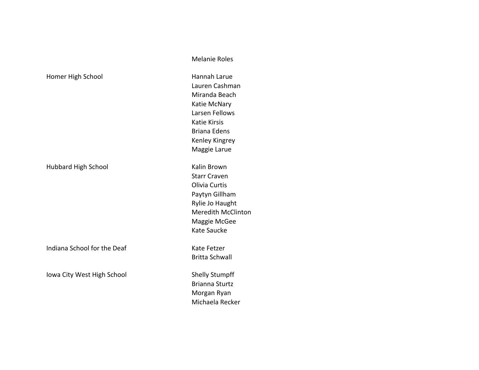|                            | Katie McNar         |
|----------------------------|---------------------|
|                            | Larsen Felloy       |
|                            | Katie Kirsis        |
|                            | Briana Edens        |
|                            | Kenley Kingr        |
|                            | Maggie Laru         |
| <b>Hubbard High School</b> | Kalin Brown         |
|                            | <b>Starr Craven</b> |
|                            | Olivia Curtis       |
|                            | Paytyn Gillha       |
|                            | Rylie Jo Haug       |
|                            | Meredith M          |

Indiana School for the Deaf Kate Fetzer

Iowa City West High School Shelly Stumpff

Melanie Roles

Homer High School **Hannah Larue** Lauren Cashman Miranda Beach Katie McNary Larsen Fellows Katie Kirsis Briana Edens Kenley Kingrey Maggie Larue

> **Starr Craven** Olivia Curtis Paytyn Gillham Rylie Jo Haught Meredith McClinton Maggie McGee Kate Saucke

Britta Schwall

Brianna Sturtz Morgan Ryan Michaela Recker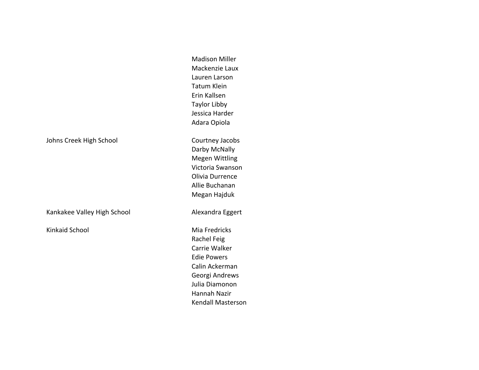|                             | <b>Madison Miller</b><br>Mackenzie Laux<br>Lauren Larson<br><b>Tatum Klein</b><br>Erin Kallsen<br><b>Taylor Libby</b>                                                 |
|-----------------------------|-----------------------------------------------------------------------------------------------------------------------------------------------------------------------|
|                             | Jessica Harder<br>Adara Opiola                                                                                                                                        |
| Johns Creek High School     | Courtney Jacobs<br>Darby McNally<br><b>Megen Wittling</b><br>Victoria Swanson<br>Olivia Durrence<br>Allie Buchanan<br>Megan Hajduk                                    |
| Kankakee Valley High School | Alexandra Eggert                                                                                                                                                      |
| Kinkaid School              | Mia Fredricks<br>Rachel Feig<br>Carrie Walker<br><b>Edie Powers</b><br>Calin Ackerman<br>Georgi Andrews<br>Julia Diamonon<br>Hannah Nazir<br><b>Kendall Masterson</b> |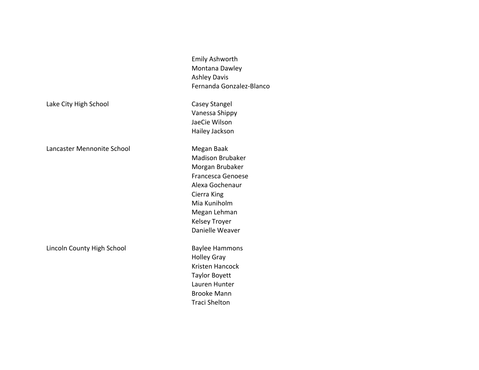Emily Ashworth Montana Dawley Ashley Davis Fernanda Gonzalez-Blanco

Vanessa Shippy JaeCie Wilson Hailey Jackson

Madison Brubaker Morgan Brubaker Francesca Genoese Alexa Gochenaur Cierra King Mia Kuniholm Megan Lehman Kelsey Troyer Danielle Weaver

Holley Gray Kristen Hancock Taylor Boyett Lauren Hunter Brooke Mann Traci Shelton

Lake City High School Casey Stangel

Lancaster Mennonite School Megan Baak

Lincoln County High School Baylee Hammons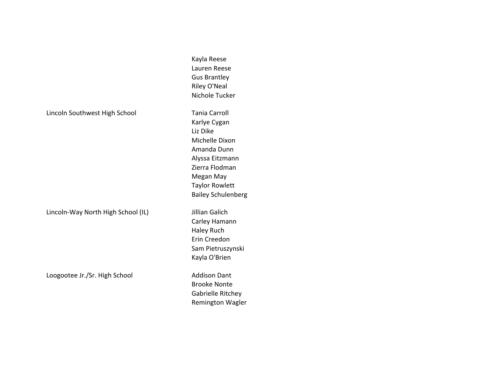#### Lincoln Southwest High School Tania Carroll

Lincoln-Way North High School (IL) Jillian Galich

Loogootee Jr./Sr. High School **Addison Dant** 

Kayla Reese Lauren Reese Gus Brantley Riley O'Neal Nichole Tucker Karlye Cygan Liz Dike Michelle Dixon Amanda Dunn Alyssa Eitzmann Zierra Flodman Megan May Taylor Rowlett Bailey Schulenberg

Carley Hamann Haley Ruch Erin Creedon Sam Pietruszynski Kayla O'Brien

Brooke Nonte Gabrielle Ritchey Remington Wagler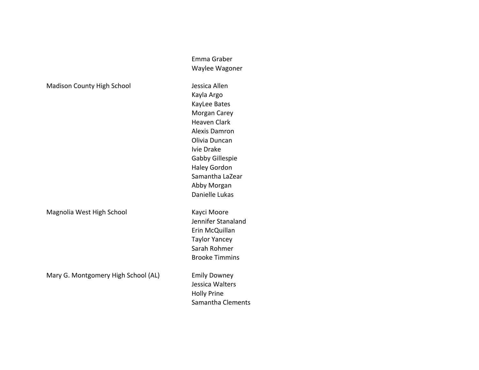|                                     | Emma Graber           |
|-------------------------------------|-----------------------|
|                                     | Waylee Wagoner        |
| <b>Madison County High School</b>   | Jessica Allen         |
|                                     | Kayla Argo            |
|                                     | KayLee Bates          |
|                                     | Morgan Carey          |
|                                     | <b>Heaven Clark</b>   |
|                                     | <b>Alexis Damron</b>  |
|                                     | Olivia Duncan         |
|                                     | Ivie Drake            |
|                                     | Gabby Gillespie       |
|                                     | <b>Haley Gordon</b>   |
|                                     | Samantha LaZear       |
|                                     | Abby Morgan           |
|                                     | Danielle Lukas        |
| Magnolia West High School           | Kayci Moore           |
|                                     | Jennifer Stanaland    |
|                                     | Erin McQuillan        |
|                                     | <b>Taylor Yancey</b>  |
|                                     | Sarah Rohmer          |
|                                     | <b>Brooke Timmins</b> |
| Mary G. Montgomery High School (AL) | <b>Emily Downey</b>   |
|                                     | Jessica Walters       |
|                                     | <b>Holly Prine</b>    |
|                                     | Samantha Clements     |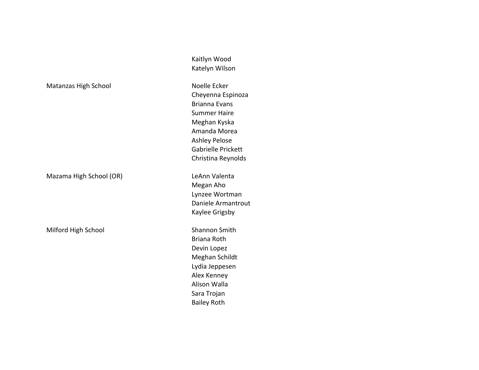# Matanzas High School Noelle Ecker

Mazama High School (OR) Channel Mazama High School (OR)

Milford High School Shannon Smith

Kaitlyn Wood Katelyn Wilson

Cheyenna Espinoza Brianna Evans Summer Haire Meghan Kyska Amanda Morea Ashley Pelose Gabrielle Prickett Christina Reynolds

Megan Aho Lynzee Wortman Daniele Armantrout Kaylee Grigsby

Briana Roth Devin Lopez Meghan Schildt Lydia Jeppesen Alex Kenney Alison Walla Sara Trojan Bailey Roth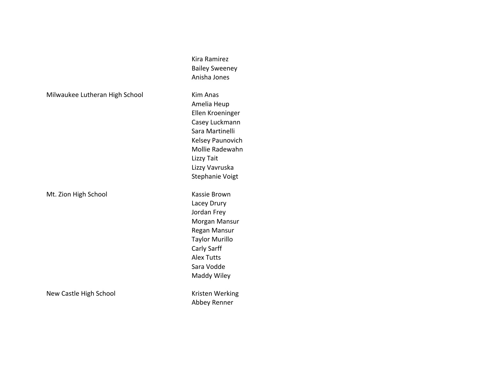Milwaukee Lutheran High School Kim Anas

Mt. Zion High School **Kassie Brown** 

New Castle High School New Castle High School New Yorking

Kira Ramirez Bailey Sweeney Anisha Jones

Amelia Heup Ellen Kroeninger Casey Luckmann Sara Martinelli Kelsey Paunovich Mollie Radewahn Lizzy Tait Lizzy Vavruska Stephanie Voigt

Lacey Drury Jordan Frey Morgan Mansur Regan Mansur Taylor Murillo Carly Sarff Alex Tutts Sara Vodde Maddy Wiley

Abbey Renner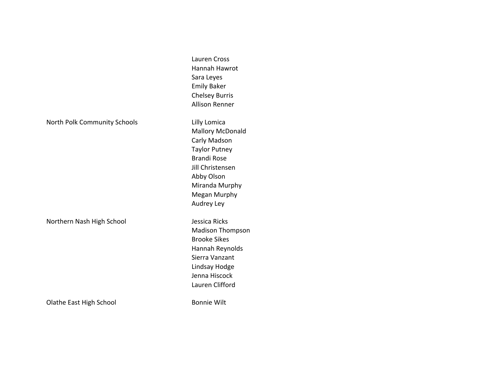Lauren Cross Hannah Hawrot Sara Leyes Emily Baker Chelsey Burris Allison Renner North Polk Community Schools **Lilly Lomica Mallory McDonald** Carly Madson **Taylor Putney** Brandi Rose Jill Christensen **Abby Olson** Miranda Murphy Megan Murphy Audrey Ley Northern Nash High School **Jessica Ricks** Madison Thompson **Brooke Sikes** Hannah Reynolds Sierra Vanzant Lindsay Hodge Jenna Hiscock Lauren Clifford Olathe East High School Bonnie Wilt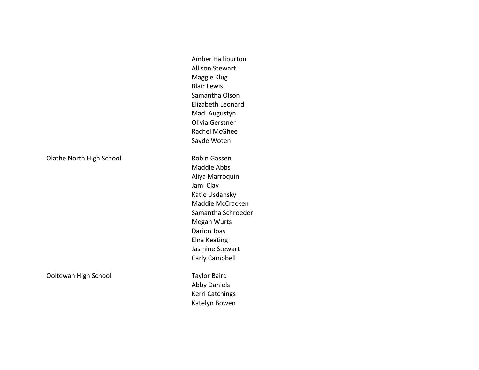Olathe North High School **Robin Gassen** 

Ooltewah High School **Taylor Baird** 

Amber Halliburton **Allison Stewart** Maggie Klug **Blair Lewis** Samantha Olson Elizabeth Leonard Madi Augustyn Olivia Gerstner Rachel McGhee Sayde Woten Maddie Abbs

Aliya Marroquin Jami Clay Katie Usdansky Maddie McCracken Samantha Schroeder Megan Wurts Darion Joas Elna Keating Jasmine Stewart Carly Campbell

Abby Daniels Kerri Catchings Katelyn Bowen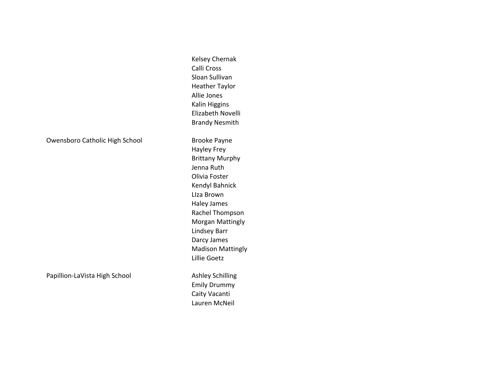|                                | Kelsey Chernak<br>Calli Cross<br>Sloan Sullivan<br><b>Heather Taylor</b><br><b>Allie Jones</b><br>Kalin Higgins                                                                                                                                                                   |
|--------------------------------|-----------------------------------------------------------------------------------------------------------------------------------------------------------------------------------------------------------------------------------------------------------------------------------|
|                                | Elizabeth Novelli<br><b>Brandy Nesmith</b>                                                                                                                                                                                                                                        |
| Owensboro Catholic High School | <b>Brooke Payne</b><br>Hayley Frey<br><b>Brittany Murphy</b><br>Jenna Ruth<br>Olivia Foster<br>Kendyl Bahnick<br>Llza Brown<br><b>Haley James</b><br>Rachel Thompson<br><b>Morgan Mattingly</b><br><b>Lindsey Barr</b><br>Darcy James<br><b>Madison Mattingly</b><br>Lillie Goetz |
| Papillion-LaVista High School  | <b>Ashley Schilling</b><br><b>Emily Drummy</b><br>Caity Vacanti<br>Lauren McNeil                                                                                                                                                                                                  |

# Owensboro Catholic High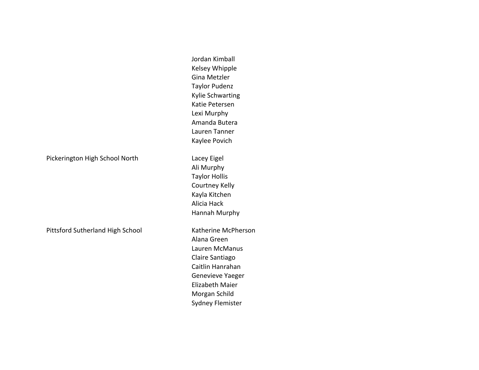Pickerington High School North Lacey Eigel

Pittsford Sutherland High School Katherine McPherson

Jordan Kimball Kelsey Whipple Gina Metzler **Taylor Pudenz** Kylie Schwarting Katie Petersen Lexi Murphy Amanda Butera Lauren Tanner Kaylee Povich

Ali Murphy **Taylor Hollis** Courtney Kelly Kayla Kitchen Alicia Hack Hannah Murphy

Alana Green Lauren McManus Claire Santiago Caitlin Hanrahan Genevieve Yaeger Elizabeth Maier Morgan Schild Sydney Flemister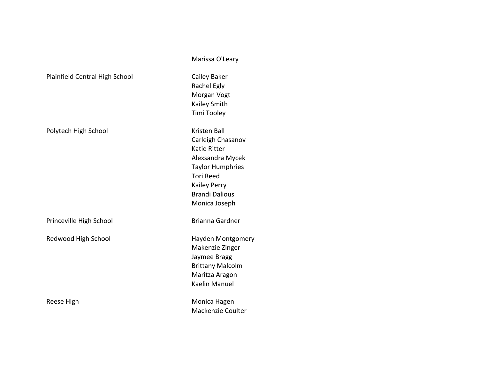|                                | Marissa O'Leary         |  |
|--------------------------------|-------------------------|--|
| Plainfield Central High School | Cailey Baker            |  |
|                                | Rachel Egly             |  |
|                                | Morgan Vogt             |  |
|                                | Kailey Smith            |  |
|                                | Timi Tooley             |  |
| Polytech High School           | <b>Kristen Ball</b>     |  |
|                                | Carleigh Chasanov       |  |
|                                | <b>Katie Ritter</b>     |  |
|                                | Alexsandra Mycek        |  |
|                                | <b>Taylor Humphries</b> |  |
|                                | <b>Tori Reed</b>        |  |
|                                | <b>Kailey Perry</b>     |  |
|                                | <b>Brandi Dalious</b>   |  |
|                                | Monica Joseph           |  |
| Princeville High School        | Brianna Gardner         |  |
| Redwood High School            | Hayden Montgomery       |  |
|                                | Makenzie Zinger         |  |
|                                | Jaymee Bragg            |  |
|                                | <b>Brittany Malcolm</b> |  |
|                                | Maritza Aragon          |  |
|                                | Kaelin Manuel           |  |
| Reese High                     | Monica Hagen            |  |
|                                | Mackenzie Coulter       |  |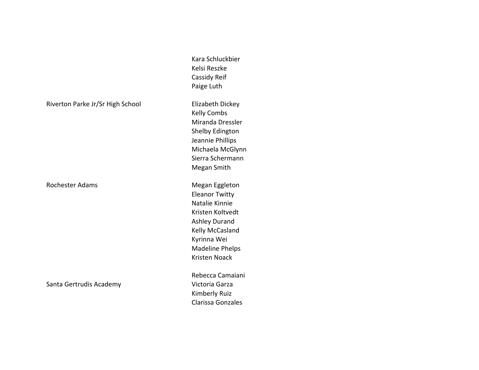Riverton Parke Jr/Sr High School Flizabeth Dickey

Rochester Adams **Megan** Eggleton

Santa Gertrudis Academy Victoria Garza

Cassidy Reif Paige Luth Kelly Combs Miranda Dressler Shelby Edington Jeannie Phillips Michaela McGlynn Sierra Schermann Megan Smith **Eleanor Twitty** Natalie Kinnie Kristen Koltvedt Ashley Durand Kelly McCasland Kyrinna Wei Madeline Phelps Kristen Noack Rebecca Camaiani

Kara Schluckbier Kelsi Reszke

Kimberly Ruiz Clarissa Gonzales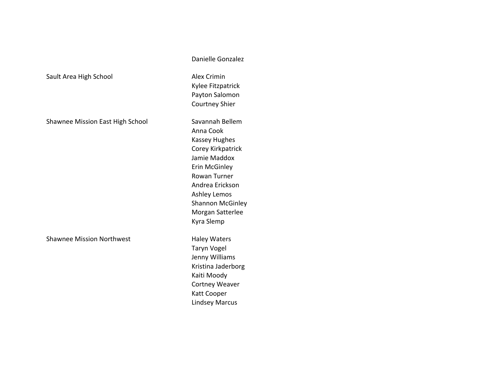Shawnee Mission East High School Savannah Bellem

Shawnee Mission Northwest **Haley Waters** 

Danielle Gonzalez

Sault Area High School **Alex Crimin** Kylee Fitzpatrick Payton Salomon Courtney Shier

> Anna Cook Kassey Hughes Corey Kirkpatrick Jamie Maddox Erin McGinley Rowan Turner Andrea Erickson Ashley Lemos Shannon McGinley Morgan Satterlee Kyra Slemp

Taryn Vogel Jenny Williams Kristina Jaderborg Kaiti Moody Cortney Weaver Katt Cooper Lindsey Marcus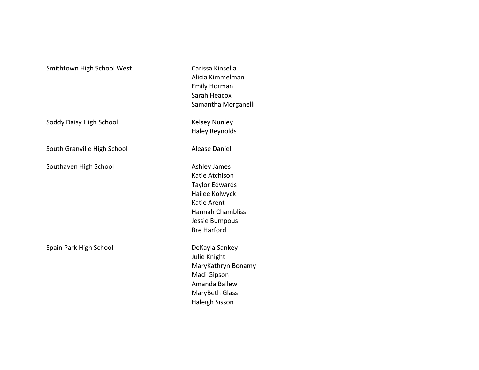# Smithtown High School West Carissa Kinsella

Soddy Daisy High School Kelsey Nunley

South Granville High School **Alease Daniel** 

Southaven High School and Ashley James

Spain Park High School DeKayla Sankey

Alicia Kimmelman Emily Horman Sarah Heacox Samantha Morganelli Haley Reynolds

Katie Atchison Taylor Edwards Hailee Kolwyck Katie Arent Hannah Chambliss Jessie Bumpous Bre Harford

Julie Knight MaryKathryn Bonamy Madi Gipson Amanda Ballew MaryBeth Glass Haleigh Sisson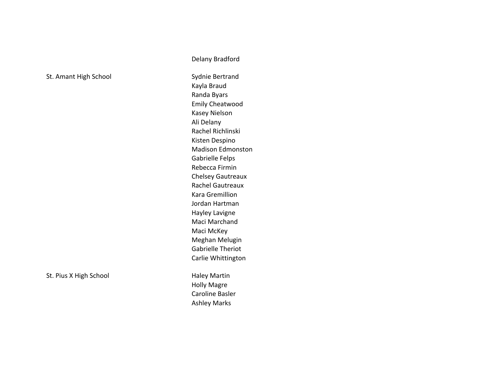St. Amant High School St. Amant High School Sydnie Bertrand

Kayla Braud Randa Byars Emily Cheatwood Kasey Nielson Ali Delany Rachel Richlinski Kisten Despino Madison Edmonston Gabrielle Felps Rebecca Firmin Chelsey Gautreaux Rachel Gautreaux Kara Gremillion Jordan Hartman Hayley Lavigne Maci Marchand Maci McKey Meghan Melugin Gabrielle Theriot Carlie Whittington

Delany Bradford

St. Pius X High School **Haley Martin** Holly Magre Caroline Basler Ashley Marks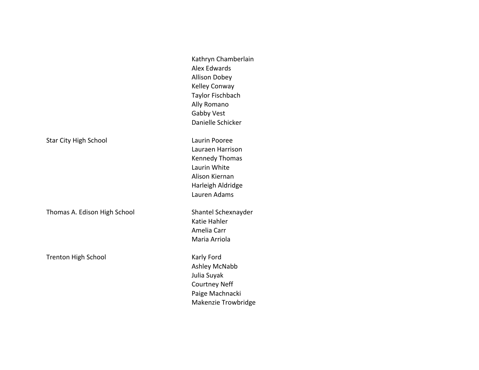|                              | Kathryn Chamberlain<br>Alex Edwards<br><b>Allison Dobey</b><br>Kelley Conway<br>Taylor Fischbach<br>Ally Romano<br>Gabby Vest<br>Danielle Schicker |
|------------------------------|----------------------------------------------------------------------------------------------------------------------------------------------------|
| <b>Star City High School</b> | Laurin Pooree<br>Lauraen Harrison<br><b>Kennedy Thomas</b><br>Laurin White<br>Alison Kiernan<br>Harleigh Aldridge<br>Lauren Adams                  |
| Thomas A. Edison High School | Shantel Schexnayder<br>Katie Hahler<br>Amelia Carr<br>Maria Arriola                                                                                |
| Trenton High School          | Karly Ford<br>Ashley McNabb<br>Julia Suyak<br><b>Courtney Neff</b><br>Paige Machnacki<br>Makenzie Trowbridge                                       |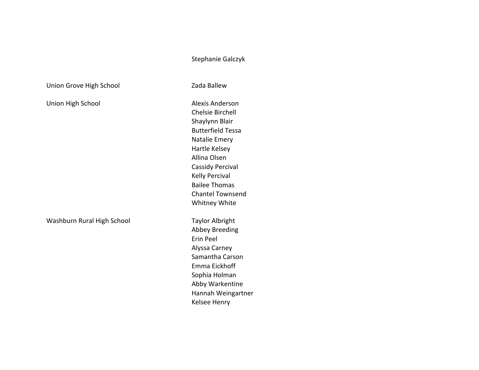## Stephanie Galczyk

Union Grove High School **Xames Contact Contact Catalogue** Zada Ballew

Washburn Rural High School Taylor Albright

Union High School **Alexis** Anderson Chelsie Birchell Shaylynn Blair Butterfield Tessa **Natalie Emery** Hartle Kelsey Allina Olsen Cassidy Percival Kelly Percival Bailee Thomas Chantel Townsend Whitney White

> Abbey Breeding Erin Peel Alyssa Carney Samantha Carson Emma Eickhoff Sophia Holman Abby Warkentine Hannah Weingartner Kelsee Henry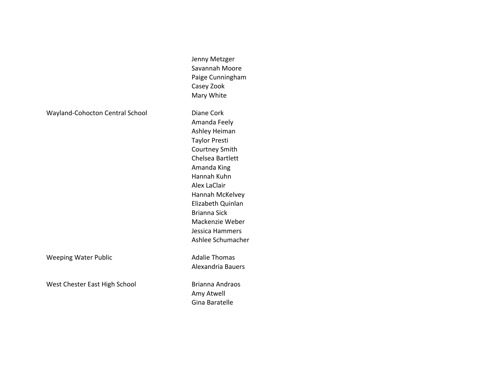Wayland-Cohocton Central School Diane Cork

Weeping Water Public **Adalie Thomas** Adalie Thomas

West Chester East High School Brianna Andraos

Paige Cunningham Casey Zook Mary White Amanda Feely Ashley Heiman Taylor Presti Courtney Smith Chelsea Bartlett Amanda King Hannah Kuhn Alex LaClair Hannah McKelvey Elizabeth Quinlan Brianna Sick Mackenzie Weber Jessica Hammers Ashlee Schumacher

Jenny Metzger Savannah Moore

Alexandria Bauers

Amy Atwell Gina Baratelle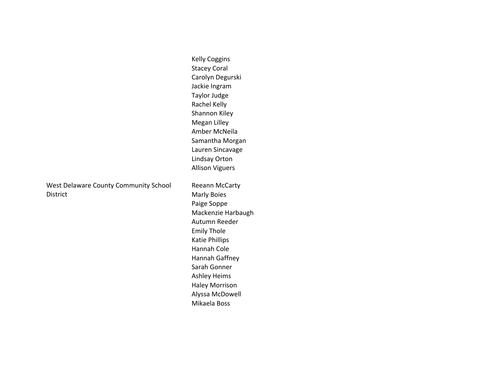Kelly Coggins Stacey Coral Carolyn Degurski Jackie Ingram Taylor Judge Rachel Kelly Shannon Kiley Megan Lilley Amber McNeila Samantha Morgan Lauren Sincavage Lindsay Orton Allison Viguers

West Delaware County Community School District

Reeann McCarty **Marly Boies** Paige Soppe Mackenzie Harbaugh Autumn Reeder Emily Thole Katie Phillips Hannah Cole Hannah Gaffney Sarah Gonner Ashley Heims Haley Morrison Alyssa McDowell Mikaela Boss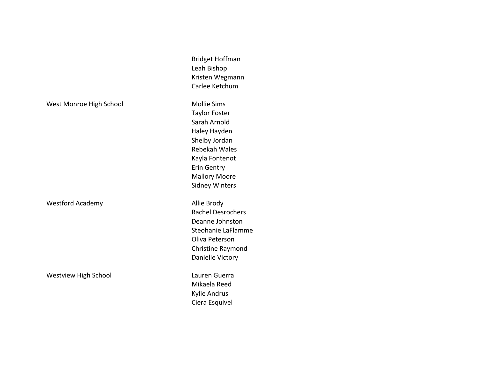Westford Academy **Allie Brody** 

Westview High School **Lauren** Guerra

Bridget Hoffman Leah Bishop Kristen Wegmann Carlee Ketchum

West Monroe High School Mollie Sims Taylor Foster Sarah Arnold Haley Hayden Shelby Jordan Rebekah Wales Kayla Fontenot Erin Gentry **Mallory Moore** Sidney Winters

> Rachel Desrochers Deanne Johnston Steohanie LaFlamme Oliva Peterson Christine Raymond Danielle Victory

Mikaela Reed Kylie Andrus Ciera Esquivel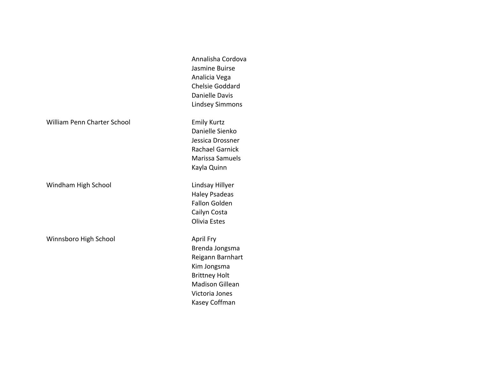Annalisha Cordova Jasmine Buirse Analicia Vega Chelsie Goddard Danielle Davis Lindsey Simmons

Danielle Sienko Jessica Drossner Rachael Garnick Marissa Samuels Kayla Quinn

Haley Psadeas Fallon Golden Cailyn Costa Olivia Estes

Brenda Jongsma Reigann Barnhart Kim Jongsma **Brittney Holt** Madison Gillean Victoria Jones Kasey Coffman

William Penn Charter School **Emily Kurtz** 

Windham High School **Lindsay Hillyer** 

Winnsboro High School **April Fry** April Fry